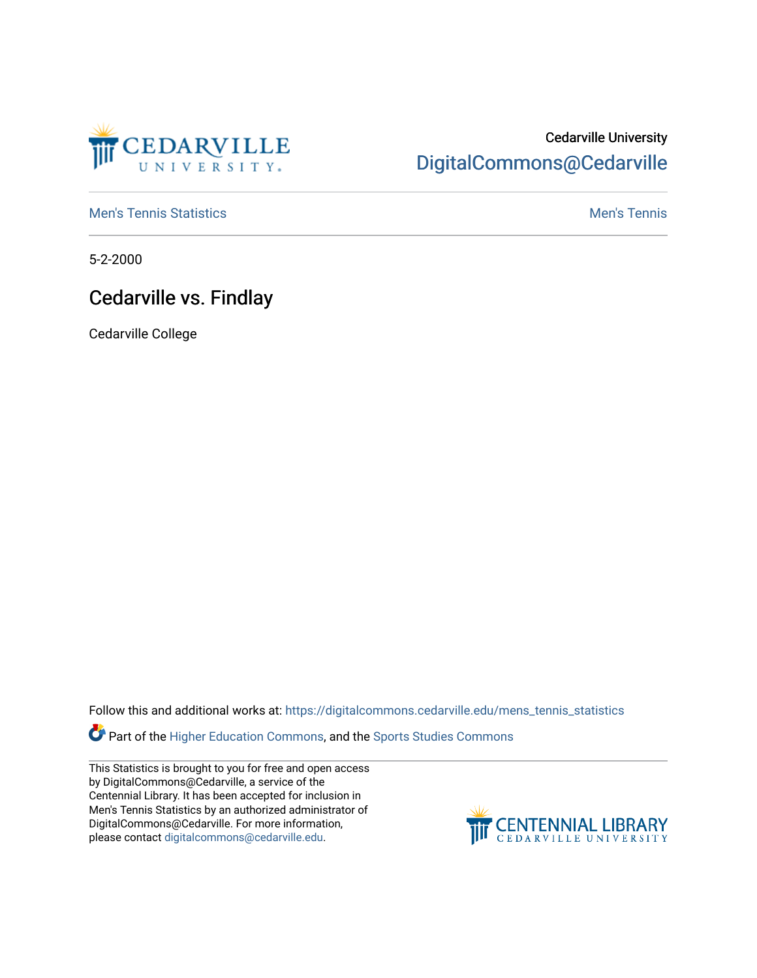

## Cedarville University [DigitalCommons@Cedarville](https://digitalcommons.cedarville.edu/)

**[Men's Tennis Statistics](https://digitalcommons.cedarville.edu/mens_tennis_statistics) Mental According to the Control of Control According Mental Men's Tennis** 

5-2-2000

## Cedarville vs. Findlay

Cedarville College

Follow this and additional works at: [https://digitalcommons.cedarville.edu/mens\\_tennis\\_statistics](https://digitalcommons.cedarville.edu/mens_tennis_statistics?utm_source=digitalcommons.cedarville.edu%2Fmens_tennis_statistics%2F448&utm_medium=PDF&utm_campaign=PDFCoverPages)

Part of the [Higher Education Commons,](http://network.bepress.com/hgg/discipline/1245?utm_source=digitalcommons.cedarville.edu%2Fmens_tennis_statistics%2F448&utm_medium=PDF&utm_campaign=PDFCoverPages) and the [Sports Studies Commons](http://network.bepress.com/hgg/discipline/1198?utm_source=digitalcommons.cedarville.edu%2Fmens_tennis_statistics%2F448&utm_medium=PDF&utm_campaign=PDFCoverPages) 

This Statistics is brought to you for free and open access by DigitalCommons@Cedarville, a service of the Centennial Library. It has been accepted for inclusion in Men's Tennis Statistics by an authorized administrator of DigitalCommons@Cedarville. For more information, please contact [digitalcommons@cedarville.edu](mailto:digitalcommons@cedarville.edu).